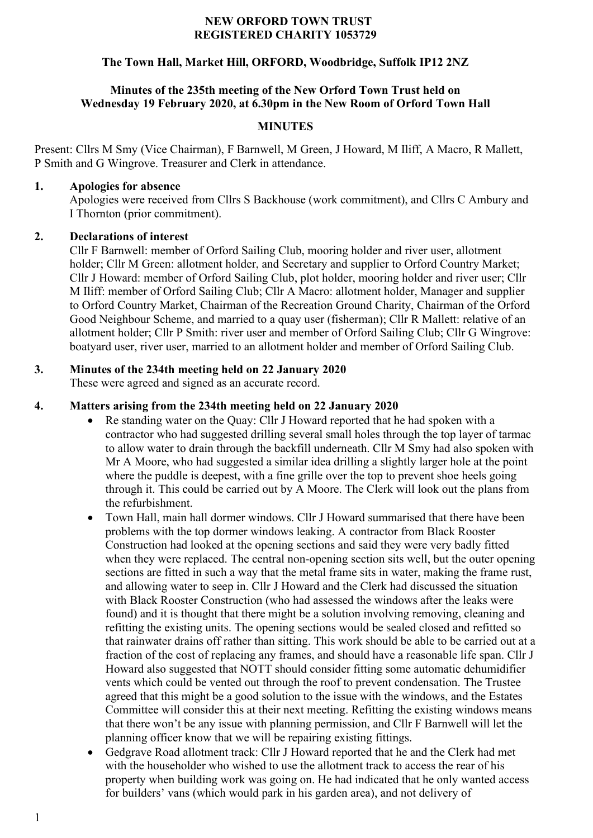#### **NEW ORFORD TOWN TRUST REGISTERED CHARITY 1053729**

# **The Town Hall, Market Hill, ORFORD, Woodbridge, Suffolk IP12 2NZ**

# **Minutes of the 235th meeting of the New Orford Town Trust held on Wednesday 19 February 2020, at 6.30pm in the New Room of Orford Town Hall**

# **MINUTES**

Present: Cllrs M Smy (Vice Chairman), F Barnwell, M Green, J Howard, M Iliff, A Macro, R Mallett, P Smith and G Wingrove. Treasurer and Clerk in attendance.

#### **1. Apologies for absence**

Apologies were received from Cllrs S Backhouse (work commitment), and Cllrs C Ambury and I Thornton (prior commitment).

### **2. Declarations of interest**

Cllr F Barnwell: member of Orford Sailing Club, mooring holder and river user, allotment holder; Cllr M Green: allotment holder, and Secretary and supplier to Orford Country Market; Cllr J Howard: member of Orford Sailing Club, plot holder, mooring holder and river user; Cllr M Iliff: member of Orford Sailing Club; Cllr A Macro: allotment holder, Manager and supplier to Orford Country Market, Chairman of the Recreation Ground Charity, Chairman of the Orford Good Neighbour Scheme, and married to a quay user (fisherman); Cllr R Mallett: relative of an allotment holder; Cllr P Smith: river user and member of Orford Sailing Club; Cllr G Wingrove: boatyard user, river user, married to an allotment holder and member of Orford Sailing Club.

# **3. Minutes of the 234th meeting held on 22 January 2020**

These were agreed and signed as an accurate record.

# **4. Matters arising from the 234th meeting held on 22 January 2020**

- Re standing water on the Quay: Cllr J Howard reported that he had spoken with a contractor who had suggested drilling several small holes through the top layer of tarmac to allow water to drain through the backfill underneath. Cllr M Smy had also spoken with Mr A Moore, who had suggested a similar idea drilling a slightly larger hole at the point where the puddle is deepest, with a fine grille over the top to prevent shoe heels going through it. This could be carried out by A Moore. The Clerk will look out the plans from the refurbishment.
- Town Hall, main hall dormer windows. Cllr J Howard summarised that there have been problems with the top dormer windows leaking. A contractor from Black Rooster Construction had looked at the opening sections and said they were very badly fitted when they were replaced. The central non-opening section sits well, but the outer opening sections are fitted in such a way that the metal frame sits in water, making the frame rust, and allowing water to seep in. Cllr J Howard and the Clerk had discussed the situation with Black Rooster Construction (who had assessed the windows after the leaks were found) and it is thought that there might be a solution involving removing, cleaning and refitting the existing units. The opening sections would be sealed closed and refitted so that rainwater drains off rather than sitting. This work should be able to be carried out at a fraction of the cost of replacing any frames, and should have a reasonable life span. Cllr J Howard also suggested that NOTT should consider fitting some automatic dehumidifier vents which could be vented out through the roof to prevent condensation. The Trustee agreed that this might be a good solution to the issue with the windows, and the Estates Committee will consider this at their next meeting. Refitting the existing windows means that there won't be any issue with planning permission, and Cllr F Barnwell will let the planning officer know that we will be repairing existing fittings.
- Gedgrave Road allotment track: Cllr J Howard reported that he and the Clerk had met with the householder who wished to use the allotment track to access the rear of his property when building work was going on. He had indicated that he only wanted access for builders' vans (which would park in his garden area), and not delivery of